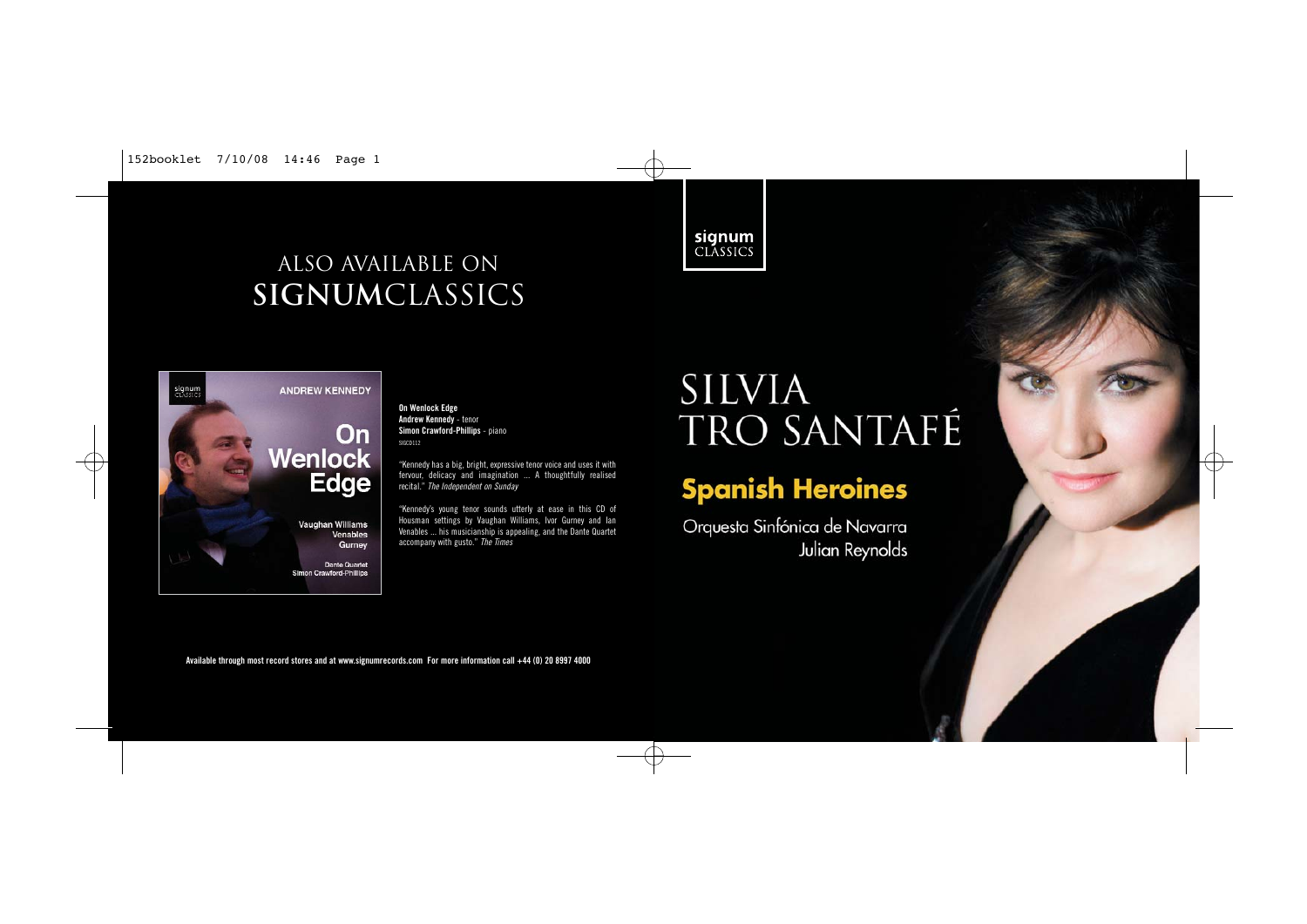# ALSO AVAILABLE on **signum**classics



**On Wenlock Edge Andrew Kennedy** - tenor **Simon Crawford-Phillips** - piano SIGCD112

"Kennedy has a big, bright, expressive tenor voice and uses it with fervour, delicacy and imagination ... A thoughtfully realised recital." The Independent on Sunday

"Kennedy's young tenor sounds utterly at ease in this CD of Housman settings by Vaughan Williams, Ivor Gurney and Ian Venables ... his musicianship is appealing, and the Dante Quartet accompany with gusto." The Times

# **SILVIA** TRO SANTAFÉ

# **Spanish Heroines**

signum<br>CLASSICS

Orquesta Sinfónica de Navarra Julian Reynolds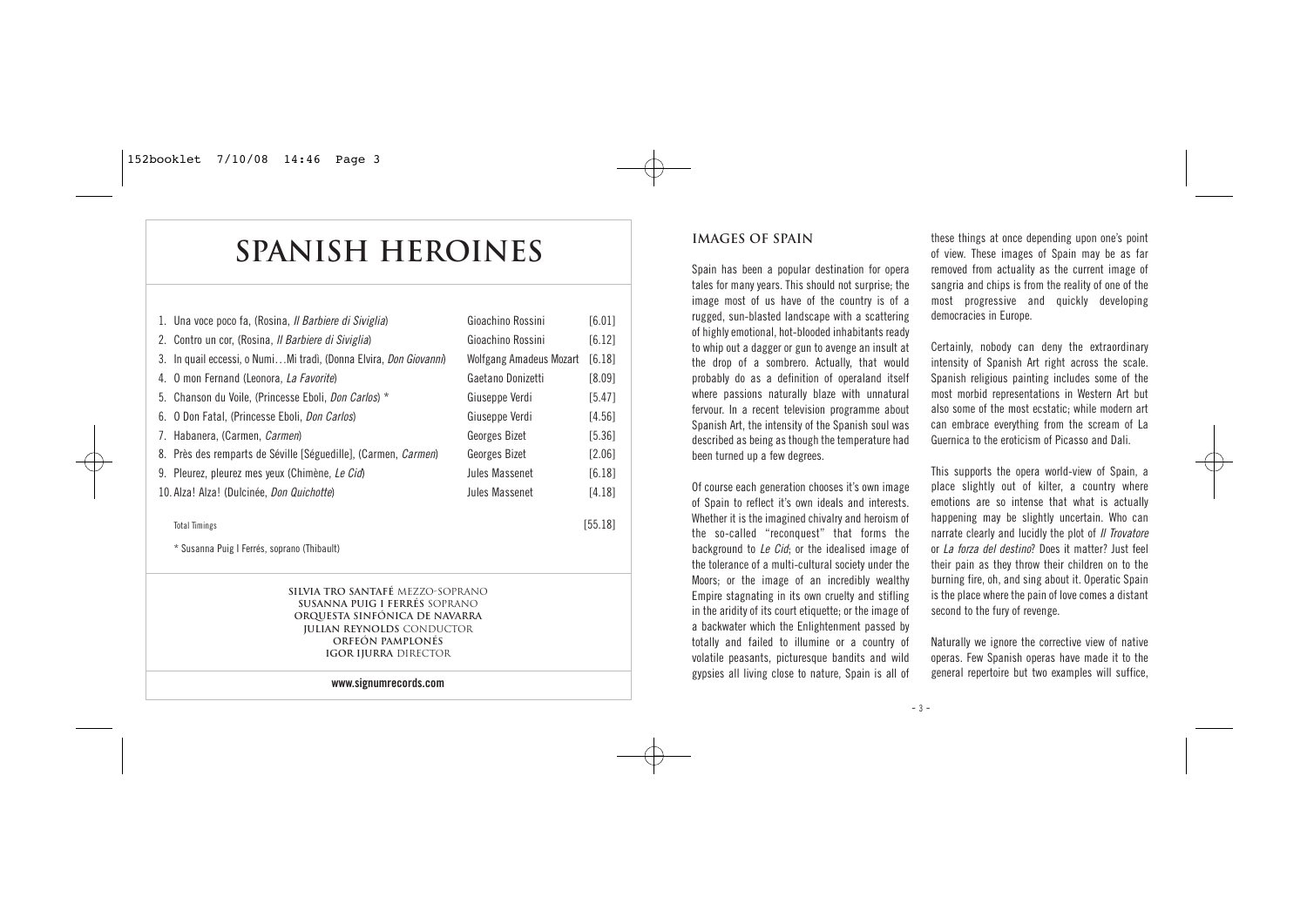# **Spanish Heroines**

| 1. Una voce poco fa, (Rosina, <i>Il Barbiere di Siviglia</i> )            | Gioachino Rossini              | [6.01]  |
|---------------------------------------------------------------------------|--------------------------------|---------|
| 2. Contro un cor, (Rosina, <i>Il Barbiere di Siviglia</i> )               | Gioachino Rossini              | [6.12]  |
| 3. In quail eccessi, o NumiMi tradì, (Donna Elvira, <i>Don Giovanni</i> ) | <b>Wolfgang Amadeus Mozart</b> | [6.18]  |
| 4. O mon Fernand (Leonora, La Favorite)                                   | Gaetano Donizetti              | [8.09]  |
| 5. Chanson du Voile, (Princesse Eboli, <i>Don Carlos</i> ) *              | Giuseppe Verdi                 | [5.47]  |
| 6. O Don Fatal, (Princesse Eboli, <i>Don Carlos</i> )                     | Giuseppe Verdi                 | [4.56]  |
| 7. Habanera, (Carmen, Carmen)                                             | Georges Bizet                  | [5.36]  |
| 8. Près des remparts de Séville [Séguedille], (Carmen, Carmen)            | Georges Bizet                  | [2.06]  |
| 9. Pleurez, pleurez mes yeux (Chimène, Le Cid)                            | Jules Massenet                 | [6.18]  |
| 10. Alza! Alza! (Dulcinée, <i>Don Quichotte</i> )                         | Jules Massenet                 | [4.18]  |
| <b>Total Timings</b>                                                      |                                | [55.18] |
| * Susanna Puig I Ferrés, soprano (Thibault)                               |                                |         |
| SILVIA TRO SANTAFÉ MEZZO-SOPRANO                                          |                                |         |

**Susanna Puig i Ferrés** soprano **Orquesta Sinfónica de Navarra Julian Reynolds** conductor **Orfeón Pamplonés Igor Ijurra** director

#### **www.signumrecords.com**

#### **IMAGES OF SPAIN**

Spain has been a popular destination for opera tales for many years. This should not surprise; the image most of us have of the country is of a rugged, sun-blasted landscape with a scattering of highly emotional, hot-blooded inhabitants ready to whip out a dagger or gun to avenge an insult at the drop of a sombrero. Actually, that would probably do as a definition of operaland itself where passions naturally blaze with unnatural fervour. In a recent television programme about Spanish Art, the intensity of the Spanish soul was described as being as though the temperature had been turned up a few degrees.

Of course each generation chooses it's own image of Spain to reflect it's own ideals and interests. Whether it is the imagined chivalry and heroism of the so-called "reconquest" that forms the background to Le Cid; or the idealised image of the tolerance of a multi-cultural society under the Moors; or the image of an incredibly wealthy Empire stagnating in its own cruelty and stifling in the aridity of its court etiquette; or the image of a backwater which the Enlightenment passed by totally and failed to illumine or a country of volatile peasants, picturesque bandits and wild gypsies all living close to nature, Spain is all of

these things at once depending upon one's point of view. These images of Spain may be as far removed from actuality as the current image of sangria and chips is from the reality of one of the most progressive and quickly developing democracies in Europe.

Certainly, nobody can deny the extraordinary intensity of Spanish Art right across the scale. Spanish religious painting includes some of the most morbid representations in Western Art but also some of the most ecstatic; while modern art can embrace everything from the scream of La Guernica to the eroticism of Picasso and Dali.

This supports the opera world-view of Spain, a place slightly out of kilter, a country where emotions are so intense that what is actually happening may be slightly uncertain. Who can narrate clearly and lucidly the plot of Il Trovatore or La forza del destino? Does it matter? Just feel their pain as they throw their children on to the burning fire, oh, and sing about it. Operatic Spain is the place where the pain of love comes a distant second to the fury of revenge.

Naturally we ignore the corrective view of native operas. Few Spanish operas have made it to the general repertoire but two examples will suffice,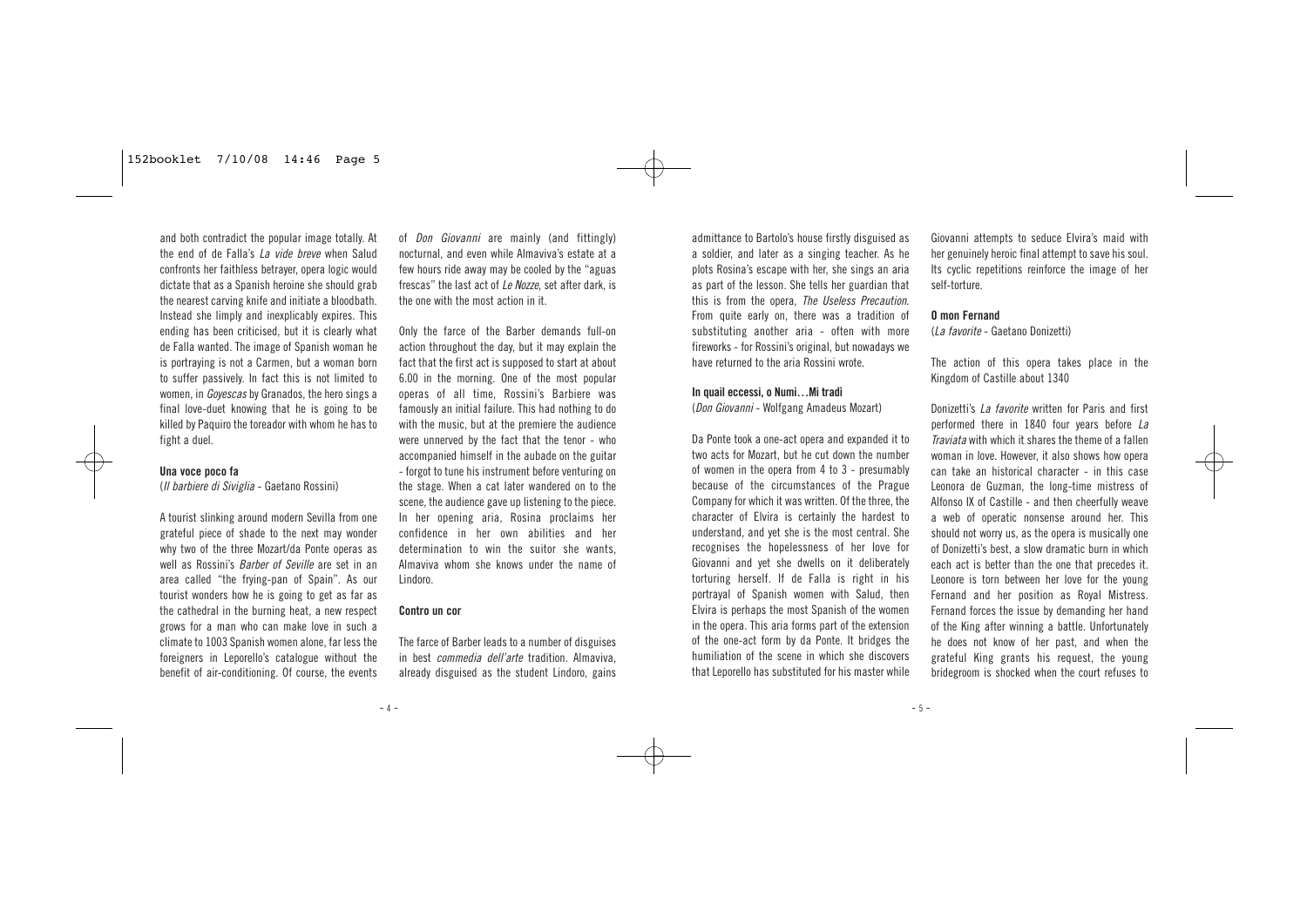and both contradict the popular image totally. At the end of de Falla's La vide breve when Salud confronts her faithless betrayer, opera logic would dictate that as a Spanish heroine she should grab the nearest carving knife and initiate a bloodbath. Instead she limply and inexplicably expires. This ending has been criticised, but it is clearly what de Falla wanted. The image of Spanish woman he is portraying is not a Carmen, but a woman born to suffer passively. In fact this is not limited to women, in *Govescas* by Granados, the hero sings a final love-duet knowing that he is going to be killed by Paquiro the toreador with whom he has to fight a duel.

#### **Una voce poco fa**

(Il barbiere di Siviglia - Gaetano Rossini)

A tourist slinking around modern Sevilla from one grateful piece of shade to the next may wonder why two of the three Mozart/da Ponte operas as well as Rossini's Barber of Seville are set in an area called "the frying-pan of Spain". As our tourist wonders how he is going to get as far as the cathedral in the burning heat, a new respect grows for a man who can make love in such a climate to 1003 Spanish women alone, far less the foreigners in Leporello's catalogue without the benefit of air-conditioning. Of course, the events

of Don Giovanni are mainly (and fittingly) nocturnal, and even while Almaviva's estate at a few hours ride away may be cooled by the "aguas frescas" the last act of Le Nozze, set after dark, is the one with the most action in it.

Only the farce of the Barber demands full-on action throughout the day, but it may explain the fact that the first act is supposed to start at about 6.00 in the morning. One of the most popular operas of all time, Rossini's Barbiere was famously an initial failure. This had nothing to do with the music, but at the premiere the audience were unnerved by the fact that the tenor - who accompanied himself in the aubade on the guitar - forgot to tune his instrument before venturing on the stage. When a cat later wandered on to the scene, the audience gave up listening to the piece. In her opening aria, Rosina proclaims her confidence in her own abilities and her determination to win the suitor she wants, Almaviva whom she knows under the name of Lindoro.

#### **Contro un cor**

The farce of Barber leads to a number of disguises in best commedia dell'arte tradition. Almaviva, already disguised as the student Lindoro, gains

admittance to Bartolo's house firstly disguised as a soldier, and later as a singing teacher. As he plots Rosina's escape with her, she sings an aria as part of the lesson. She tells her guardian that this is from the opera, The Useless Precaution. From quite early on, there was a tradition of substituting another aria - often with more fireworks - for Rossini's original, but nowadays we have returned to the aria Rossini wrote.

#### **In quail eccessi, o Numi…Mi tradì**

(Don Giovanni - Wolfgang Amadeus Mozart)

Da Ponte took a one-act opera and expanded it to two acts for Mozart, but he cut down the number of women in the opera from 4 to 3 - presumably because of the circumstances of the Prague Company for which it was written. Of the three, the character of Elvira is certainly the hardest to understand, and yet she is the most central. She recognises the hopelessness of her love for Giovanni and yet she dwells on it deliberately torturing herself. If de Falla is right in his portrayal of Spanish women with Salud, then Elvira is perhaps the most Spanish of the women in the opera. This aria forms part of the extension of the one-act form by da Ponte. It bridges the humiliation of the scene in which she discovers that Leporello has substituted for his master while

Giovanni attempts to seduce Elvira's maid with her genuinely heroic final attempt to save his soul. Its cyclic repetitions reinforce the image of her self-torture.

#### **O mon Fernand**

(La favorite - Gaetano Donizetti)

The action of this opera takes place in the Kingdom of Castille about 1340

Donizetti's La favorite written for Paris and first performed there in 1840 four years before La Traviata with which it shares the theme of a fallen woman in love. However, it also shows how opera can take an historical character - in this case Leonora de Guzman, the long-time mistress of Alfonso IX of Castille - and then cheerfully weave a web of operatic nonsense around her. This should not worry us, as the opera is musically one of Donizetti's best, a slow dramatic burn in which each act is better than the one that precedes it. Leonore is torn between her love for the young Fernand and her position as Royal Mistress. Fernand forces the issue by demanding her hand of the King after winning a battle. Unfortunately he does not know of her past, and when the grateful King grants his request, the young bridegroom is shocked when the court refuses to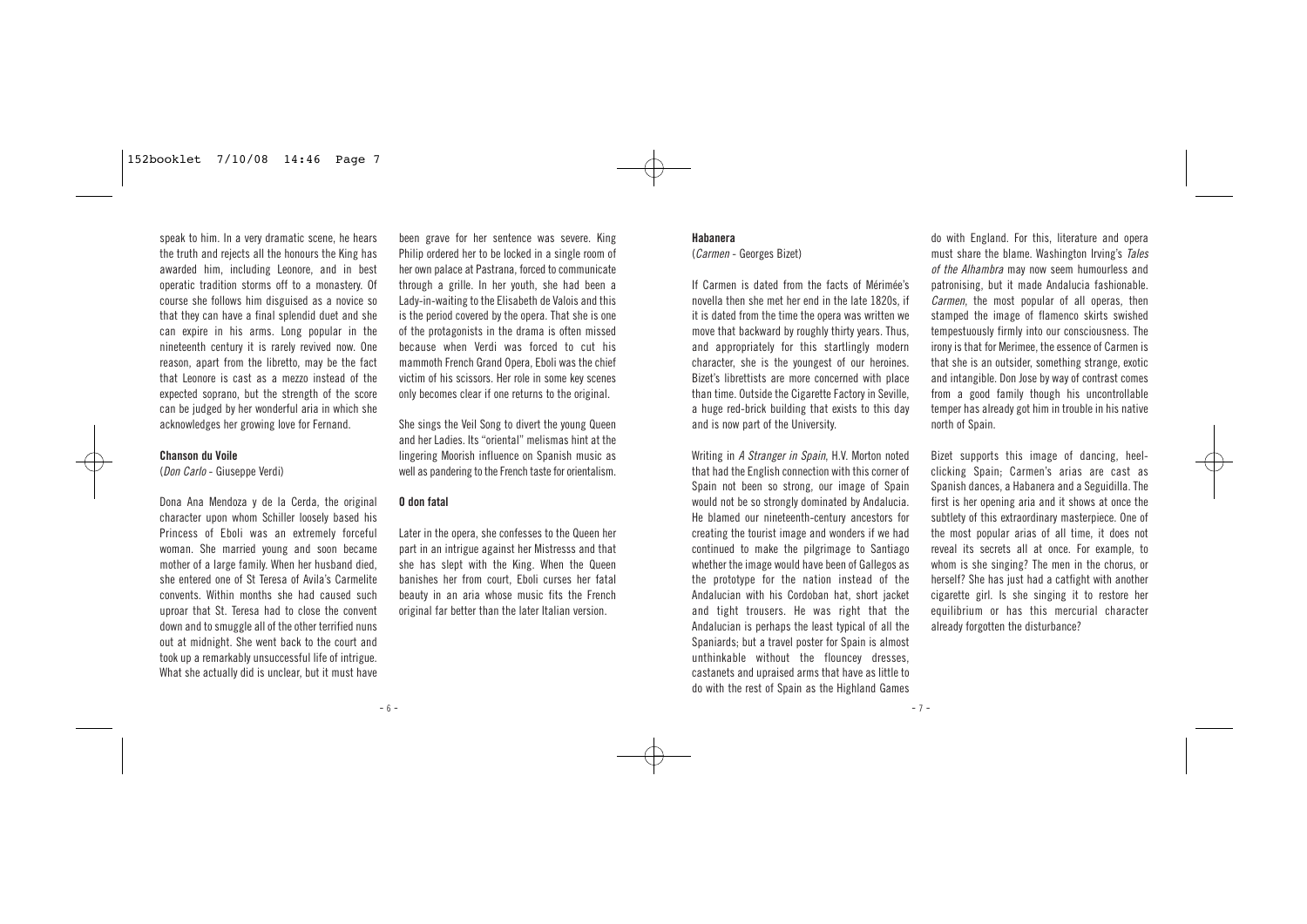speak to him. In a very dramatic scene, he hears the truth and rejects all the honours the King has awarded him, including Leonore, and in best operatic tradition storms off to a monastery. Of course she follows him disguised as a novice so that they can have a final splendid duet and she can expire in his arms. Long popular in the nineteenth century it is rarely revived now. One reason, apart from the libretto, may be the fact that Leonore is cast as a mezzo instead of the expected soprano, but the strength of the score can be judged by her wonderful aria in which she acknowledges her growing love for Fernand.

#### **Chanson du Voile**

(Don Carlo - Giuseppe Verdi)

Dona Ana Mendoza y de la Cerda, the original character upon whom Schiller loosely based his Princess of Eboli was an extremely forceful woman. She married young and soon became mother of a large family. When her husband died, she entered one of St Teresa of Avila's Carmelite convents. Within months she had caused such uproar that St. Teresa had to close the convent down and to smuggle all of the other terrified nuns out at midnight. She went back to the court and took up a remarkably unsuccessful life of intrigue. What she actually did is unclear, but it must have been grave for her sentence was severe. King Philip ordered her to be locked in a single room of her own palace at Pastrana, forced to communicate through a grille. In her youth, she had been a Lady-in-waiting to the Elisabeth de Valois and this is the period covered by the opera. That she is one of the protagonists in the drama is often missed because when Verdi was forced to cut his mammoth French Grand Opera, Eboli was the chief victim of his scissors. Her role in some key scenes only becomes clear if one returns to the original.

She sings the Veil Song to divert the young Queen and her Ladies. Its "oriental" melismas hint at the lingering Moorish influence on Spanish music as well as pandering to the French taste for orientalism.

## **O don fatal**

Later in the opera, she confesses to the Queen her part in an intrigue against her Mistresss and that she has slept with the King. When the Queen banishes her from court, Eboli curses her fatal beauty in an aria whose music fits the French original far better than the later Italian version.

#### **Habanera**  (Carmen - Georges Bizet)

If Carmen is dated from the facts of Mérimée's novella then she met her end in the late 1820s, if it is dated from the time the opera was written we move that backward by roughly thirty years. Thus, and appropriately for this startlingly modern character, she is the youngest of our heroines. Bizet's librettists are more concerned with place than time. Outside the Cigarette Factory in Seville, a huge red-brick building that exists to this day and is now part of the University.

Writing in A Stranger in Spain, H.V. Morton noted that had the English connection with this corner of Spain not been so strong, our image of Spain would not be so strongly dominated by Andalucia. He blamed our nineteenth-century ancestors for creating the tourist image and wonders if we had continued to make the pilgrimage to Santiago whether the image would have been of Gallegos as the prototype for the nation instead of the Andalucian with his Cordoban hat, short jacket and tight trousers. He was right that the Andalucian is perhaps the least typical of all the Spaniards; but a travel poster for Spain is almost unthinkable without the flouncey dresses, castanets and upraised arms that have as little to do with the rest of Spain as the Highland Games

do with England. For this, literature and opera must share the blame. Washington Irving's Tales of the Alhambra may now seem humourless and patronising, but it made Andalucia fashionable. Carmen, the most popular of all operas, then stamped the image of flamenco skirts swished tempestuously firmly into our consciousness. The irony is that for Merimee, the essence of Carmen is that she is an outsider, something strange, exotic and intangible. Don Jose by way of contrast comes from a good family though his uncontrollable temper has already got him in trouble in his native north of Spain.

Bizet supports this image of dancing, heelclicking Spain; Carmen's arias are cast as Spanish dances, a Habanera and a Seguidilla. The first is her opening aria and it shows at once the subtlety of this extraordinary masterpiece. One of the most popular arias of all time, it does not reveal its secrets all at once. For example, to whom is she singing? The men in the chorus, or herself? She has just had a catfight with another cigarette girl. Is she singing it to restore her equilibrium or has this mercurial character already forgotten the disturbance?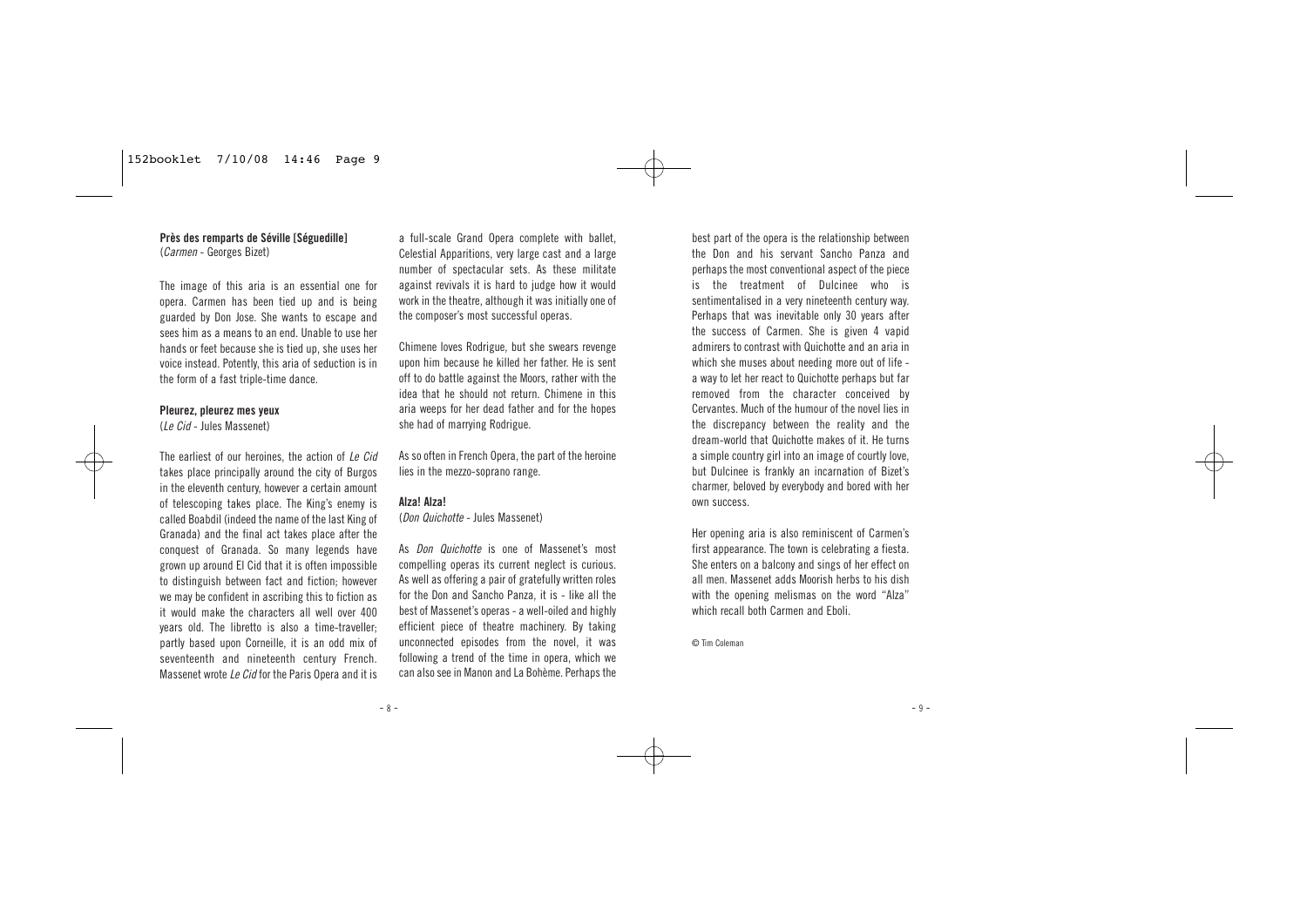The image of this aria is an essential one for opera. Carmen has been tied up and is being guarded by Don Jose. She wants to escape and sees him as a means to an end. Unable to use her hands or feet because she is tied up, she uses her voice instead. Potently, this aria of seduction is in the form of a fast triple-time dance.

# **Pleurez, pleurez mes yeux**

(Le Cid - Jules Massenet)

The earliest of our heroines, the action of Le Cid takes place principally around the city of Burgos in the eleventh century, however a certain amount of telescoping takes place. The King's enemy is called Boabdil (indeed the name of the last King of Granada) and the final act takes place after the conquest of Granada. So many legends have grown up around El Cid that it is often impossible to distinguish between fact and fiction; however we may be confident in ascribing this to fiction as it would make the characters all well over 400 years old. The libretto is also a time-traveller; partly based upon Corneille, it is an odd mix of seventeenth and nineteenth century French. Massenet wrote Le Cid for the Paris Opera and it is

a full-scale Grand Opera complete with ballet, Celestial Apparitions, very large cast and a large number of spectacular sets. As these militate against revivals it is hard to judge how it would work in the theatre, although it was initially one of the composer's most successful operas.

Chimene loves Rodrigue, but she swears revenge upon him because he killed her father. He is sent off to do battle against the Moors, rather with the idea that he should not return. Chimene in this aria weeps for her dead father and for the hopes she had of marrying Rodrigue.

As so often in French Opera, the part of the heroine lies in the mezzo-soprano range.

#### **Alza! Alza!**

(Don Quichotte - Jules Massenet)

As *Don Quichotte* is one of Massenet's most compelling operas its current neglect is curious. As well as offering a pair of gratefully written roles for the Don and Sancho Panza, it is - like all the best of Massenet's operas - a well-oiled and highly efficient piece of theatre machinery. By taking unconnected episodes from the novel, it was following a trend of the time in opera, which we can also see in Manon and La Bohème. Perhaps the

best part of the opera is the relationship between the Don and his servant Sancho Panza and perhaps the most conventional aspect of the piece is the treatment of Dulcinee who is sentimentalised in a very nineteenth century way. Perhaps that was inevitable only 30 years after the success of Carmen. She is given 4 vapid admirers to contrast with Quichotte and an aria in which she muses about needing more out of life a way to let her react to Quichotte perhaps but far removed from the character conceived by Cervantes. Much of the humour of the novel lies in the discrepancy between the reality and the dream-world that Quichotte makes of it. He turns a simple country girl into an image of courtly love, but Dulcinee is frankly an incarnation of Bizet's charmer, beloved by everybody and bored with her own success.

Her opening aria is also reminiscent of Carmen's first appearance. The town is celebrating a fiesta. She enters on a balcony and sings of her effect on all men. Massenet adds Moorish herbs to his dish with the opening melismas on the word "Alza" which recall both Carmen and Eboli.

© Tim Coleman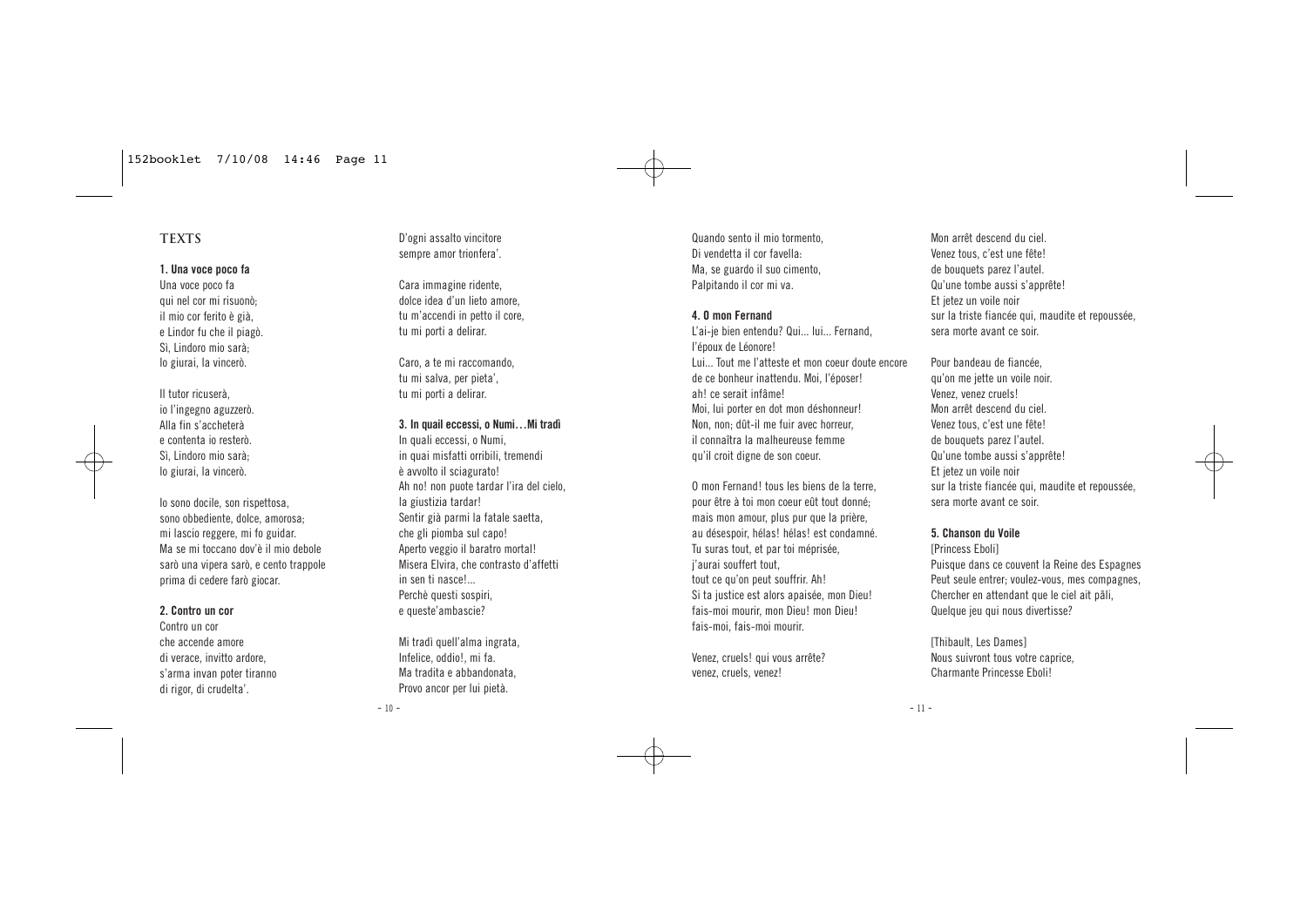**TEXTS**

# **1. Una voce poco fa**

Una voce poco fa qui nel cor mi risuonò; il mio cor ferito è già, e Lindor fu che il piagò. Sì, Lindoro mio sarà; lo giurai, la vincerò.

Il tutor ricuserà, io l'ingegno aguzzerò. Alla fin s'accheterà e contenta io resterò. Sì, Lindoro mio sarà; lo giurai, la vincerò.

Io sono docile, son rispettosa, sono obbediente, dolce, amorosa; mi lascio reggere, mi fo guidar. Ma se mi toccano dov'è il mio debole sarò una vipera sarò, e cento trappole prima di cedere farò giocar.

#### **2. Contro un cor**

Contro un cor che accende amore di verace, invitto ardore, <sup>s</sup>'arma invan poter tiranno di rigor, di crudelta'.

D'ogni assalto vincitore sempre amor trionfera'.

Cara immagine ridente, dolce idea d'un lieto amore, tu m'accendi in petto il core, tu mi porti a delirar.

Caro, a te mi raccomando, tu mi salva, per pieta', tu mi porti a delirar.

**3. In quail eccessi, o Numi…Mi tradì** In quali eccessi, o Numi, in quai misfatti orribili, tremendi è avvolto il sciagurato! Ah no! non puote tardar l'ira del cielo, la giustizia tardar! Sentir già parmi la fatale saetta, che gli piomba sul capo! Aperto veggio il baratro mortal! Misera Elvira, che contrasto d'affetti in sen ti nasce!... Perchè questi sospiri, e queste'ambascie?

Mi tradì quell'alma ingrata, Infelice, oddio!, mi fa. Ma tradita e abbandonata, Provo ancor per lui pietà.

Quando sento il mio tormento, Di vendetta il cor favella: Ma, se guardo il suo cimento, Palpitando il cor mi va.

#### **4. O mon Fernand**

L'ai-je bien entendu? Qui... lui... Fernand, l'époux de Léonore! Lui... Tout me l'atteste et mon coeur doute encore de ce bonheur inattendu. Moi, l'époser! ah! ce serait infâme! Moi, lui porter en dot mon déshonneur! Non, non; dût-il me fuir avec horreur, il connaîtra la malheureuse femme qu'il croit digne de son coeur.

O mon Fernand! tous les biens de la terre, pour être à toi mon coeur eût tout donné; mais mon amour, plus pur que la prière, au désespoir, hélas! hélas! est condamné. Tu suras tout, et par toi méprisée, j'aurai souffert tout, tout ce qu'on peut souffrir. Ah! Si ta justice est alors apaisée, mon Dieu! fais-moi mourir, mon Dieu! mon Dieu! fais-moi, fais-moi mourir.

Venez, cruels! qui vous arrête? venez, cruels, venez!

Mon arrêt descend du ciel. Venez tous, c'est une fête! de bouquets parez l'autel. Qu'une tombe aussi s'apprête! Et jetez un voile noir sur la triste fiancée qui, maudite et repoussée, sera morte avant ce soir.

Pour bandeau de fiancée, qu'on me jette un voile noir. Venez, venez cruels! Mon arrêt descend du ciel. Venez tous, c'est une fête! de bouquets parez l'autel. Qu'une tombe aussi s'apprête! Et jetez un voile noir sur la triste fiancée qui, maudite et repoussée, sera morte avant ce soir.

#### **5. Chanson du Voile**

[Princess Eboli] Puisque dans ce couvent la Reine des Espagnes Peut seule entrer; voulez-vous, mes compagnes, Chercher en attendant que le ciel ait pâli, Quelque jeu qui nous divertisse?

[Thibault, Les Dames] Nous suivront tous votre caprice, Charmante Princesse Eboli!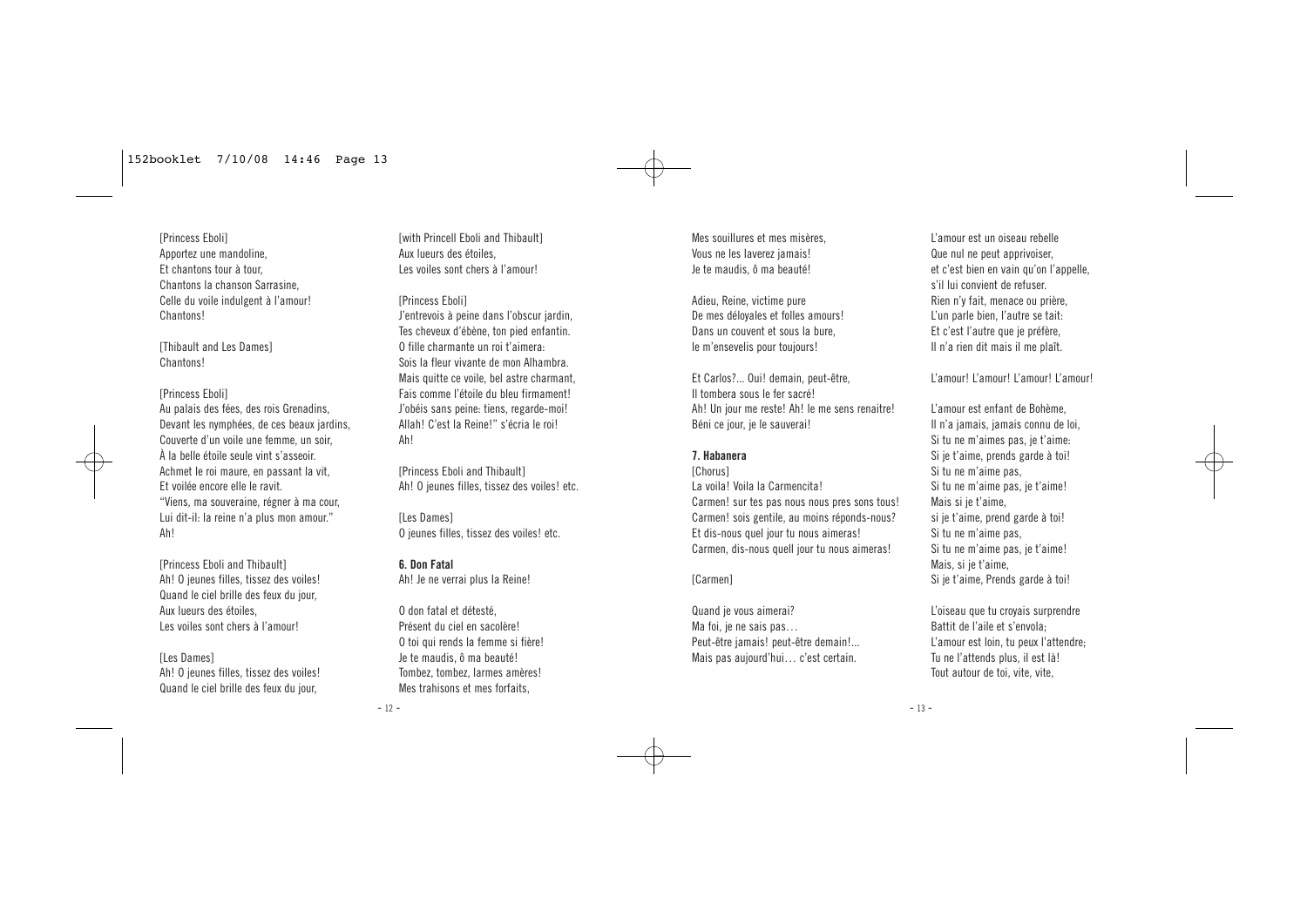[Princess Eboli] Apportez une mandoline, Et chantons tour à tour, Chantons la chanson Sarrasine, Celle du voile indulgent à l'amour! Chantons!

[Thibault and Les Dames] Chantons!

#### [Princess Eboli]

Au palais des fées, des rois Grenadins Devant les nymphées, de ces beaux jardins, Couverte d'un voile une femme, un soir, À la belle étoile seule vint s'asseoir. Achmet le roi maure, en passant la vit, Et voilée encore elle le ravit. "Viens, ma souveraine, régner à ma cour, Lui dit-il: la reine n'a plus mon amour." Ah!

[Princess Eboli and Thibault] Ah! O jeunes filles, tissez des voiles! Quand le ciel brille des feux du jour, Aux lueurs des étoiles, Les voiles sont chers à l'amour!

# [Les Dames]

Ah! O jeunes filles, tissez des voiles! Quand le ciel brille des feux du jour,

[with Princell Eboli and Thibault] Aux lueurs des étoiles, Les voiles sont chers à l'amour!

[Princess Eboli] J'entrevois à peine dans l'obscur jardin, Tes cheveux d'ébène, ton pied enfantin. O fille charmante un roi t'aimera: Sois la fleur vivante de mon Alhambra. Mais quitte ce voile, bel astre charmant, Fais comme l'étoile du bleu firmament! J'obéis sans peine: tiens, regarde-moi! Allah! C'est la Reine!" s'écria le roi! Ah!

[Princess Eboli and Thibault] Ah! O jeunes filles, tissez des voiles! etc.

[Les Dames] O jeunes filles, tissez des voiles! etc.

# **6. Don Fatal**

Ah! Je ne verrai plus Ia Reine!

O don fatal et détesté, Présent du ciel en sacolère! O toi qui rends la femme si fière! Je te maudis, ô ma beauté! Tombez, tombez, larmes amères! Mes trahisons et mes forfaits,

Mes souillures et mes misères, Vous ne les Iaverez jamais! Je te maudis, ô ma beauté!

Adieu, Reine, victime pure De mes déloyales et folles amours! Dans un couvent et sous la bure, le m'ensevelis pour toujours!

Et Carlos?... Oui! demain, peut-être, Il tombera sous le fer sacré! Ah! Un jour me reste! Ah! le me sens renaitre! Béni ce jour, je le sauverai!

# **7. Habanera**

# [Chorus] La voila! Voila la Carmencita! Carmen! sur tes pas nous nous pres sons tous! Carmen! sois gentile, au moins réponds-nous? Et dis-nous quel jour tu nous aimeras! Carmen, dis-nous quell jour tu nous aimeras!

# [Carmen]

Quand je vous aimerai? Ma foi, je ne sais pas… Peut-être jamais! peut-être demain!... Mais pas aujourd'hui… c'est certain.

L'amour est un oiseau rebelle Que nul ne peut apprivoiser, et c'est bien en vain qu'on l'appelle, s'il lui convient de refuser. Rien n'y fait, menace ou prière, L'un parle bien, l'autre se tait: Et c'est l'autre que je préfère, Il n'a rien dit mais il me plaît.

L'amour! L'amour! L'amour! L'amour!

L'amour est enfant de Bohème, Il n'a jamais, jamais connu de loi, Si tu ne m'aimes pas, je t'aime: Si je t'aime, prends garde à toi! Si tu ne m'aime pas, Si tu ne m'aime pas, je t'aime! Mais si je t'aime. si je t'aime, prend garde à toi! Si tu ne m'aime pas, Si tu ne m'aime pas, je t'aime! Mais, si je t'aime, Si je t'aime, Prends garde à toi!

L'oiseau que tu croyais surprendre Battit de l'aile et s'envola; L'amour est loin, tu peux l'attendre; Tu ne l'attends plus, il est là! Tout autour de toi, vite, vite,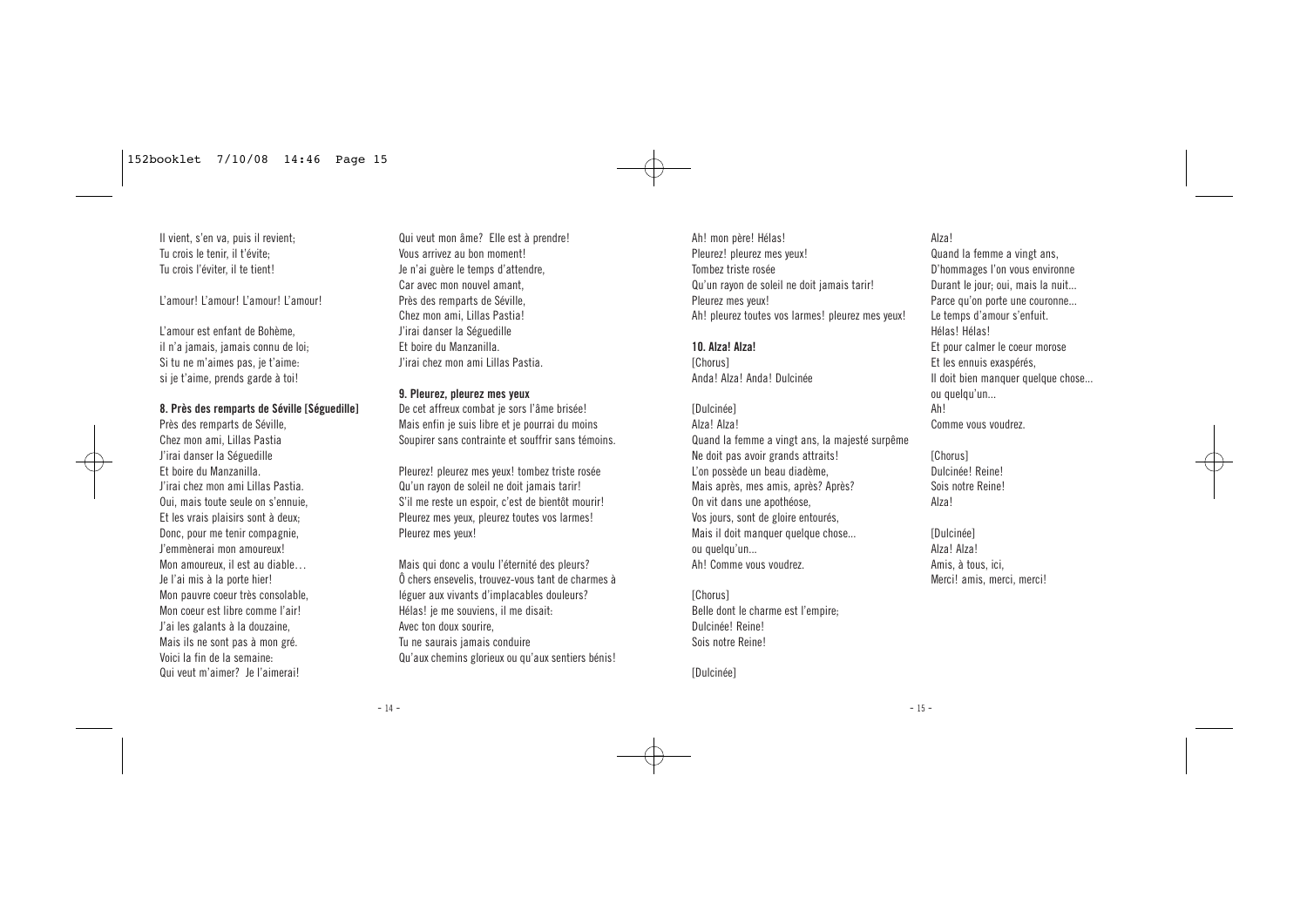Il vient, s'en va, puis il revient; Tu crois le tenir, il t'évite; Tu crois l'éviter, il te tient!

L'amour! L'amour! L'amour! L'amour!

L'amour est enfant de Bohème, il n'a jamais, jamais connu de loi; Si tu ne m'aimes pas, je t'aime: si je t'aime, prends garde à toi!

#### **8. Près des remparts de Séville [Séguedille]**

Près des remparts de Séville, Chez mon ami, Lillas Pastia J'irai danser la Séguedille Et boire du Manzanilla. J'irai chez mon ami Lillas Pastia. Oui, mais toute seule on s'ennuie, Et les vrais plaisirs sont à deux; Donc, pour me tenir compagnie, J'emmènerai mon amoureux! Mon amoureux, il est au diable… Je l'ai mis à la porte hier! Mon pauvre coeur très consolable, Mon coeur est libre comme l'air! J'ai les galants à la douzaine, Mais ils ne sont pas à mon gré. Voici la fin de la semaine: Qui veut m'aimer? Je l'aimerai!

Qui veut mon âme? Elle est à prendre! Vous arrivez au bon moment! Je n'ai guère le temps d'attendre, Car avec mon nouvel amant Près des remparts de Séville, Chez mon ami, Lillas Pastia! J'irai danser la Séguedille Et boire du Manzanilla. J'irai chez mon ami Lillas Pastia.

**9. Pleurez, pleurez mes yeux** 

De cet affreux combat je sors l'âme brisée! Mais enfin je suis libre et je pourrai du moins Soupirer sans contrainte et souffrir sans témoins.

Pleurez! pleurez mes yeux! tombez triste rosée Qu'un rayon de soleil ne doit jamais tarir! S'il me reste un espoir, c'est de bientôt mourir! Pleurez mes yeux, pleurez toutes vos larmes! Pleurez mes yeux!

Mais qui donc a voulu l'éternité des pleurs? Ô chers ensevelis, trouvez-vous tant de charmes à léguer aux vivants d'implacables douleurs? Hélas! je me souviens, il me disait: Avec ton doux sourire, Tu ne saurais jamais conduire Qu'aux chemins glorieux ou qu'aux sentiers bénis! Ah! mon père! Hélas! Pleurez! pleurez mes yeux! Tombez triste rosée Qu'un rayon de soleil ne doit jamais tarir! Pleurez mes yeux! Ah! pleurez toutes vos larmes! pleurez mes yeux!

#### **10. Alza! Alza!**

[Chorus] Anda! Alza! Anda! Dulcinée

#### [Dulcinée]

Alza! Alza!

Quand la femme a vingt ans, la majesté surpême Ne doit pas avoir grands attraits! L'on possède un beau diadème, Mais après, mes amis, après? Après? On vit dans une apothéose, Vos jours, sont de gloire entourés, Mais il doit manquer quelque chose... ou quelqu'un... Ah! Comme vous voudrez.

[Chorus] Belle dont le charme est l'empire; Dulcinée! Reine! Sois notre Reine!

#### [Dulcinée]

Alza! Quand la femme a vingt ans, D'hommages l'on vous environne Durant le jour; oui, mais la nuit... Parce qu'on porte une couronne... Le temps d'amour s'enfuit. Hélas! Hélas! Et pour calmer le coeur morose Et les ennuis exaspérés, Il doit bien manquer quelque chose... ou quelqu'un... Ah! Comme vous voudrez.

[Chorus] Dulcinée! Reine! Sois notre Reine! Alza!

[Dulcinée] Alza! Alza! Amis, à tous, ici, Merci! amis, merci, merci!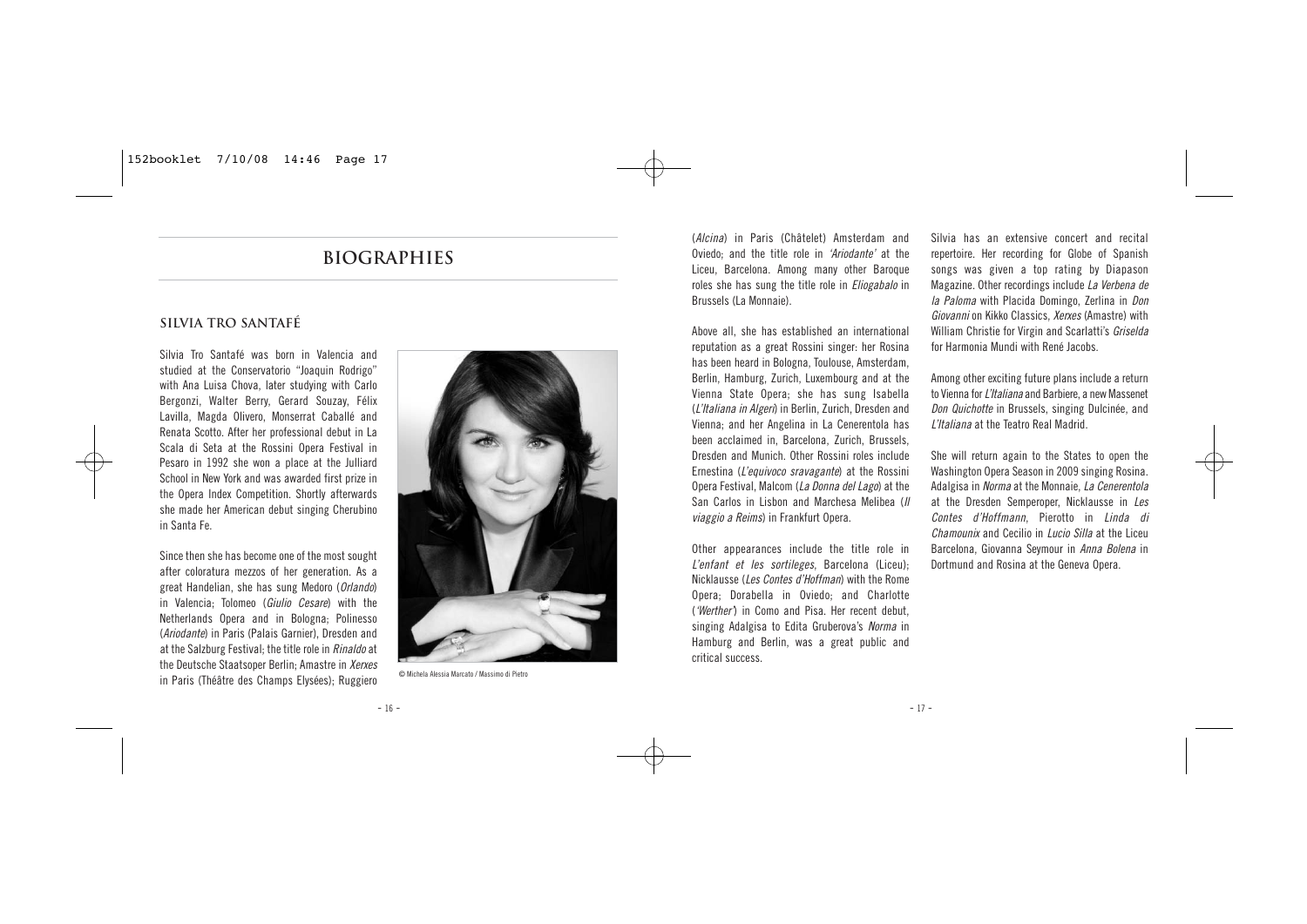# **BIOGRAPHIES**

# **Silvia Tro Santafé**

Silvia Tro Santafé was born in Valencia and studied at the Conservatorio "Joaquin Rodrigo" with Ana Luisa Chova, later studying with Carlo Bergonzi, Walter Berry, Gerard Souzay, Félix Lavilla, Magda Olivero, Monserrat Caballé and Renata Scotto. After her professional debut in La Scala di Seta at the Rossini Opera Festival in Pesaro in 1992 she won a place at the Julliard School in New York and was awarded first prize in the Opera Index Competition. Shortly afterwards she made her American debut singing Cherubino in Santa Fe.

Since then she has become one of the most sought after coloratura mezzos of her generation. As a great Handelian, she has sung Medoro (Orlando) in Valencia; Tolomeo (Giulio Cesare) with the Netherlands Opera and in Bologna; Polinesso (Ariodante) in Paris (Palais Garnier), Dresden and at the Salzburg Festival; the title role in Rinaldo at the Deutsche Staatsoper Berlin; Amastre in Xerxes in Paris (Théâtre des Champs Elysées); Ruggiero © Michela Alessia Marcato / Massimo di Pietro



(Alcina) in Paris (Châtelet) Amsterdam and Oviedo; and the title role in 'Ariodante' at the Liceu, Barcelona. Among many other Baroque roles she has sung the title role in Eliogabalo in Brussels (La Monnaie).

Above all, she has established an international reputation as a great Rossini singer: her Rosina has been heard in Bologna, Toulouse, Amsterdam, Berlin, Hamburg, Zurich, Luxembourg and at the Vienna State Opera; she has sung Isabella (L'Italiana in Algeri) in Berlin, Zurich, Dresden and Vienna; and her Angelina in La Cenerentola has been acclaimed in, Barcelona, Zurich, Brussels, Dresden and Munich. Other Rossini roles include Ernestina (L'equivoco sravagante) at the Rossini Opera Festival, Malcom (La Donna del Lago) at the San Carlos in Lisbon and Marchesa Melibea (Il viaggio a Reims) in Frankfurt Opera.

Other appearances include the title role in L'enfant et les sortileges, Barcelona (Liceu); Nicklausse (Les Contes d'Hoffman) with the Rome Opera; Dorabella in Oviedo; and Charlotte ('Werther') in Como and Pisa. Her recent debut, singing Adalgisa to Edita Gruberova's Norma in Hamburg and Berlin, was a great public and critical success.

Silvia has an extensive concert and recital repertoire. Her recording for Globe of Spanish songs was given a top rating by Diapason Magazine. Other recordings include La Verbena de la Paloma with Placida Domingo, Zerlina in Don Giovanni on Kikko Classics, Xerxes (Amastre) with William Christie for Virgin and Scarlatti's Griselda for Harmonia Mundi with René Jacobs.

Among other exciting future plans include a return to Vienna for L'Italiana and Barbiere, a new Massenet Don Quichotte in Brussels, singing Dulcinée, and L'Italiana at the Teatro Real Madrid.

She will return again to the States to open the Washington Opera Season in 2009 singing Rosina. Adalgisa in Norma at the Monnaie, La Cenerentola at the Dresden Semperoper, Nicklausse in Les Contes d'Hoffmann, Pierotto in Linda di Chamounix and Cecilio in Lucio Silla at the Liceu Barcelona, Giovanna Seymour in Anna Bolena in Dortmund and Rosina at the Geneva Opera.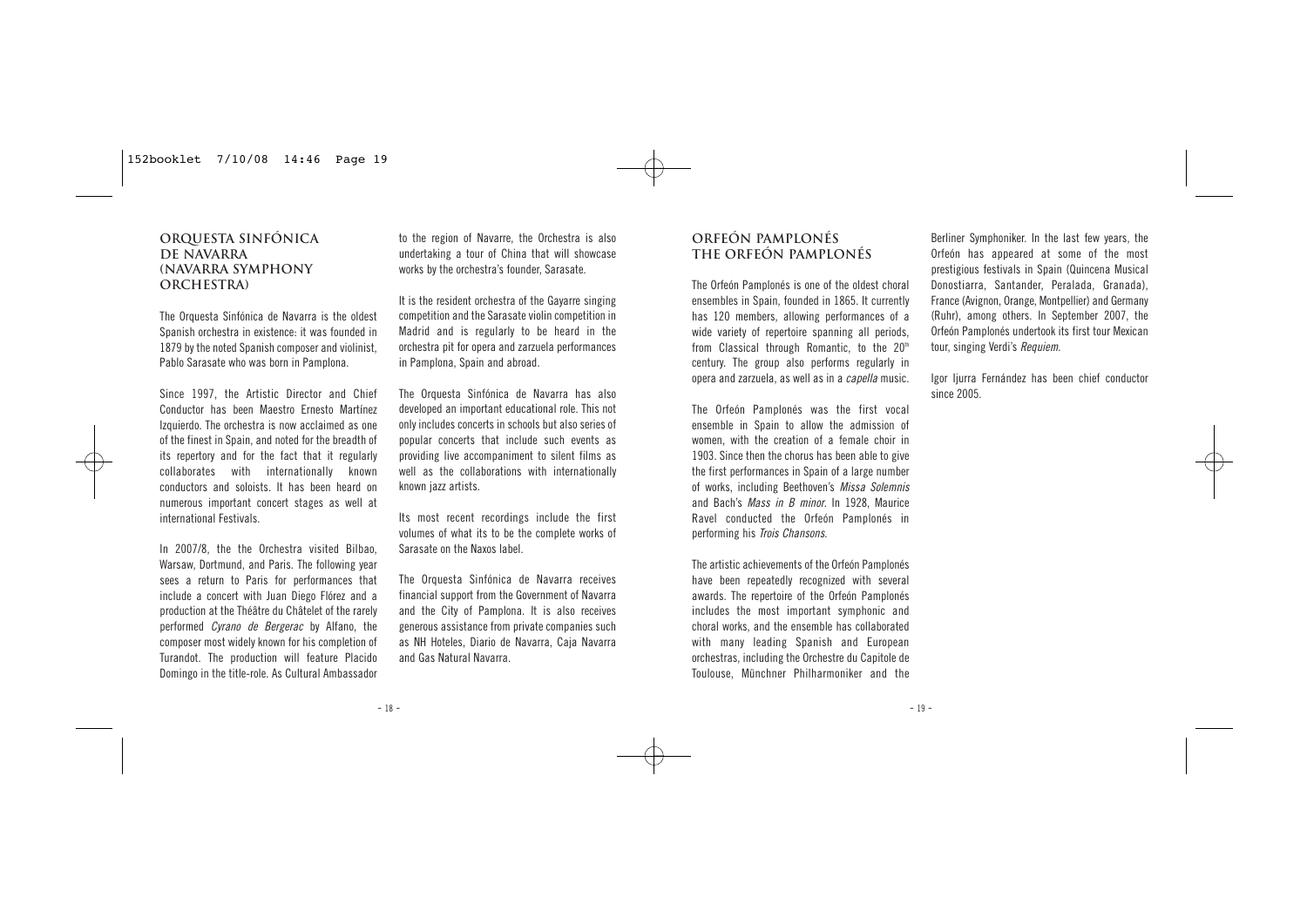# **ORQUESTA SINFÓNICA DE NAVARRA (NAVARRA SYMPHONY ORCHESTRA)**

The Orquesta Sinfónica de Navarra is the oldest Spanish orchestra in existence: it was founded in 1879 by the noted Spanish composer and violinist, Pablo Sarasate who was born in Pamplona.

Since 1997, the Artistic Director and Chief Conductor has been Maestro Ernesto Martínez Izquierdo. The orchestra is now acclaimed as one of the finest in Spain, and noted for the breadth of its repertory and for the fact that it regularly collaborates with internationally known conductors and soloists. It has been heard on numerous important concert stages as well at international Festivals.

In 2007/8, the the Orchestra visited Bilbao, Warsaw, Dortmund, and Paris. The following year sees a return to Paris for performances that include a concert with Juan Diego Flórez and a production at the Théâtre du Châtelet of the rarely performed Cyrano de Bergerac by Alfano, the composer most widely known for his completion of Turandot. The production will feature Placido Domingo in the title-role. As Cultural Ambassador to the region of Navarre, the Orchestra is also undertaking a tour of China that will showcase works by the orchestra's founder, Sarasate.

It is the resident orchestra of the Gayarre singing competition and the Sarasate violin competition in Madrid and is regularly to be heard in the orchestra pit for opera and zarzuela performances in Pamplona, Spain and abroad.

The Orquesta Sinfónica de Navarra has also developed an important educational role. This not only includes concerts in schools but also series of popular concerts that include such events as providing live accompaniment to silent films as well as the collaborations with internationally known jazz artists.

Its most recent recordings include the first volumes of what its to be the complete works of Sarasate on the Naxos label.

The Orquesta Sinfónica de Navarra receives financial support from the Government of Navarra and the City of Pamplona. It is also receives generous assistance from private companies such as NH Hoteles, Diario de Navarra, Caja Navarra and Gas Natural Navarra.

# **Orfeón Pamplonés THE ORFEÓN PAMPLONÉS**

The Orfeón Pamplonés is one of the oldest choral ensembles in Spain, founded in 1865. It currently has 120 members, allowing performances of a wide variety of repertoire spanning all periods. from Classical through Romantic, to the 20<sup>th</sup> century. The group also performs regularly in opera and zarzuela, as well as in a capella music.

The Orfeón Pamplonés was the first vocal ensemble in Spain to allow the admission of women, with the creation of a female choir in 1903. Since then the chorus has been able to give the first performances in Spain of a large number of works, including Beethoven's Missa Solemnis and Bach's Mass in B minor. In 1928, Maurice Ravel conducted the Orfeón Pamplonés in performing his Trois Chansons.

The artistic achievements of the Orfeón Pamplonés have been repeatedly recognized with several awards. The repertoire of the Orfeón Pamplonés includes the most important symphonic and choral works, and the ensemble has collaborated with many leading Spanish and European orchestras, including the Orchestre du Capitole de Toulouse, Münchner Philharmoniker and the Berliner Symphoniker. In the last few years, the Orfeón has appeared at some of the most prestigious festivals in Spain (Quincena Musical Donostiarra, Santander, Peralada, Granada), France (Avignon, Orange, Montpellier) and Germany (Ruhr), among others. In September 2007, the Orfeón Pamplonés undertook its first tour Mexican tour, singing Verdi's Requiem.

Igor Ijurra Fernández has been chief conductor since 2005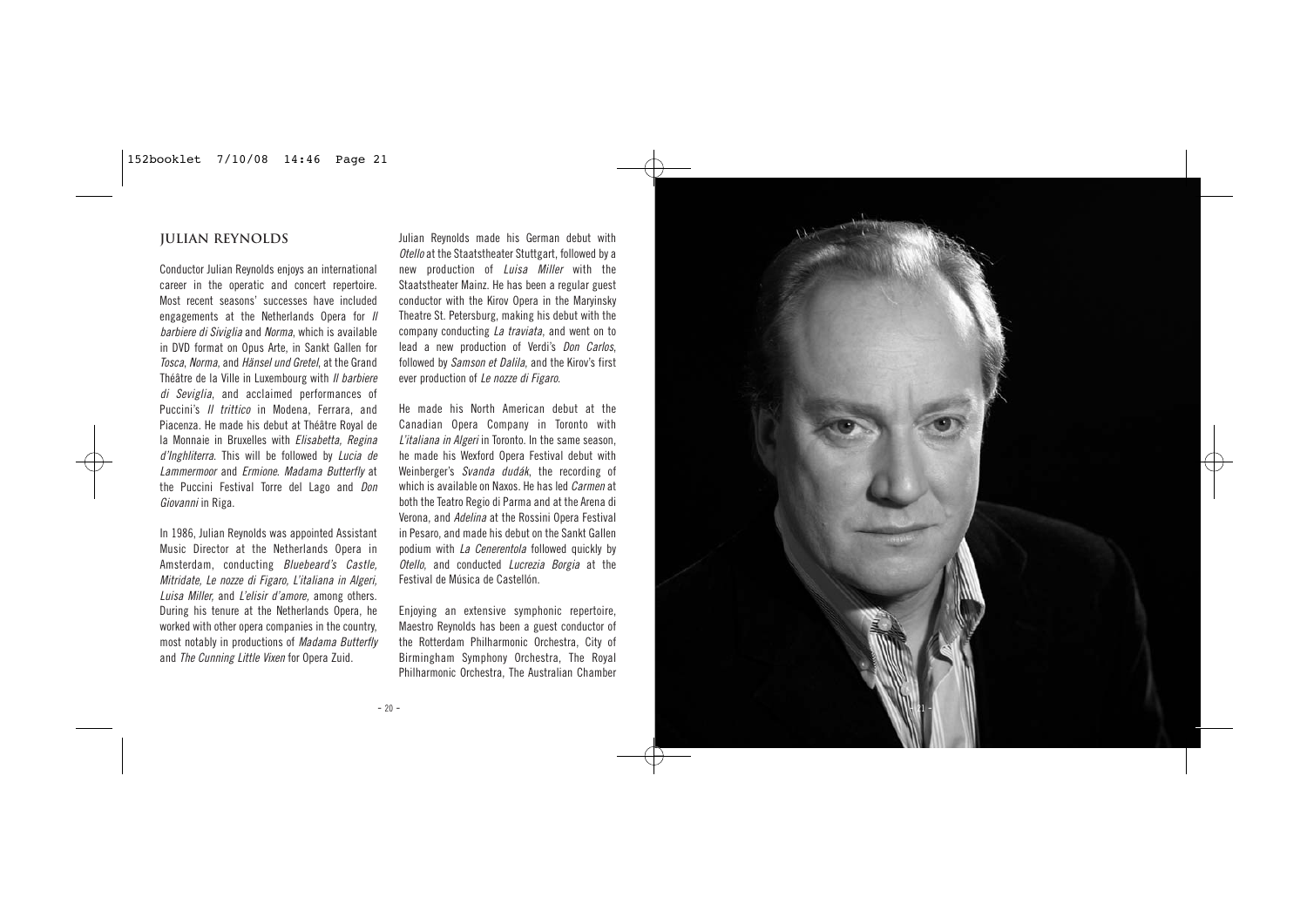### **Julian Reynolds**

Conductor Julian Reynolds enjoys an international career in the operatic and concert repertoire. Most recent seasons' successes have included engagements at the Netherlands Opera for Il barbiere di Siviglia and Norma, which is available in DVD format on Opus Arte, in Sankt Gallen for Tosca, Norma, and Hänsel und Gretel, at the Grand Théâtre de la Ville in Luxembourg with Il barbiere di Seviglia, and acclaimed performances of Puccini's *II trittico* in Modena, Ferrara, and Piacenza. He made his debut at Théâtre Royal de la Monnaie in Bruxelles with *Elisabetta, Regina* d'Inghliterra. This will be followed by Lucia de Lammermoor and Ermione. Madama Butterfly at the Puccini Festival Torre del Lago and Don Giovanni in Riga.

In 1986, Julian Reynolds was appointed Assistant Music Director at the Netherlands Opera in Amsterdam, conducting Bluebeard's Castle, Mitridate, Le nozze di Figaro, L'italiana in Algeri, Luisa Miller, and L'elisir d'amore, among others. During his tenure at the Netherlands Opera, he worked with other opera companies in the country, most notably in productions of Madama Butterfly and The Cunning Little Vixen for Opera Zuid.

Julian Reynolds made his German debut with Otello at the Staatstheater Stuttgart, followed by a new production of Luisa Miller with the Staatstheater Mainz. He has been a regular guest conductor with the Kirov Opera in the Maryinsky Theatre St. Petersburg, making his debut with the company conducting La traviata, and went on to lead a new production of Verdi's Don Carlos, followed by *Samson et Dalila*, and the Kirov's first ever production of Le nozze di Figaro.

He made his North American debut at the Canadian Opera Company in Toronto with L'italiana in Algeri in Toronto. In the same season, he made his Wexford Opera Festival debut with Weinberger's Svanda dudák, the recording of which is available on Naxos. He has led Carmen at both the Teatro Regio di Parma and at the Arena di Verona, and Adelina at the Rossini Opera Festival in Pesaro, and made his debut on the Sankt Gallen podium with La Cenerentola followed quickly by Otello, and conducted Lucrezia Borgia at the Festival de Música de Castellón.

Enjoying an extensive symphonic repertoire, Maestro Reynolds has been a guest conductor of the Rotterdam Philharmonic Orchestra, City of Birmingham Symphony Orchestra, The Royal Philharmonic Orchestra, The Australian Chamber